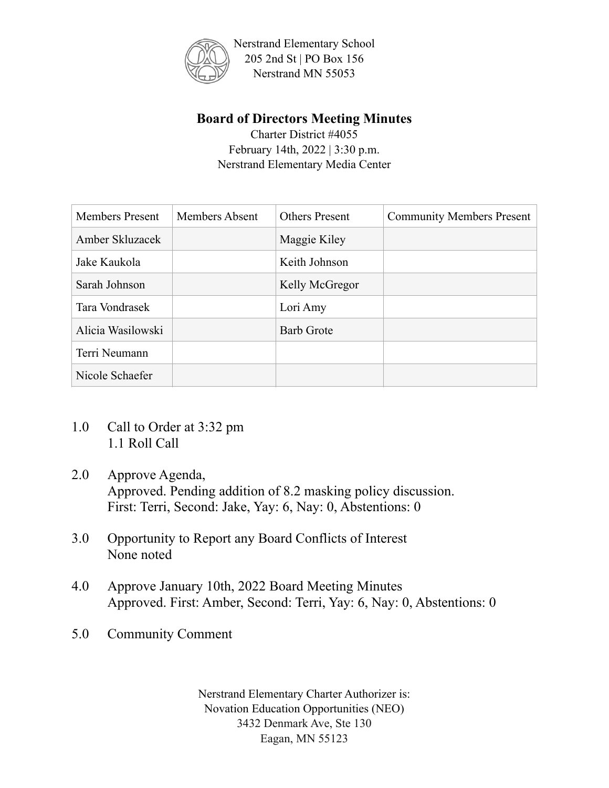

## **Board of Directors Meeting Minutes**

Charter District #4055 February 14th, 2022 | 3:30 p.m. Nerstrand Elementary Media Center

| <b>Members Present</b> | <b>Members Absent</b> | <b>Others Present</b> | <b>Community Members Present</b> |
|------------------------|-----------------------|-----------------------|----------------------------------|
| Amber Skluzacek        |                       | Maggie Kiley          |                                  |
| Jake Kaukola           |                       | Keith Johnson         |                                  |
| Sarah Johnson          |                       | Kelly McGregor        |                                  |
| Tara Vondrasek         |                       | Lori Amy              |                                  |
| Alicia Wasilowski      |                       | <b>Barb Grote</b>     |                                  |
| Terri Neumann          |                       |                       |                                  |
| Nicole Schaefer        |                       |                       |                                  |

- 1.0 Call to Order at 3:32 pm 1.1 Roll Call
- 2.0 Approve Agenda, Approved. Pending addition of 8.2 masking policy discussion. First: Terri, Second: Jake, Yay: 6, Nay: 0, Abstentions: 0
- 3.0 Opportunity to Report any Board Conflicts of Interest None noted
- 4.0 Approve January 10th, 2022 Board Meeting Minutes Approved. First: Amber, Second: Terri, Yay: 6, Nay: 0, Abstentions: 0
- 5.0 Community Comment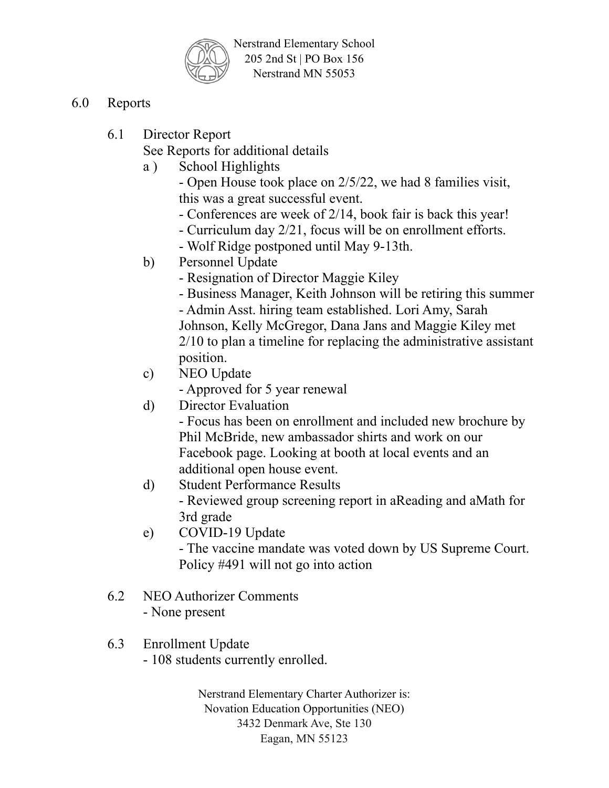

- 6.0 Reports
	- 6.1 Director Report

See Reports for additional details

a ) School Highlights

- Open House took place on 2/5/22, we had 8 families visit, this was a great successful event.

- Conferences are week of 2/14, book fair is back this year!
- Curriculum day 2/21, focus will be on enrollment efforts.
- Wolf Ridge postponed until May 9-13th.
- b) Personnel Update
	- Resignation of Director Maggie Kiley
	- Business Manager, Keith Johnson will be retiring this summer

- Admin Asst. hiring team established. Lori Amy, Sarah Johnson, Kelly McGregor, Dana Jans and Maggie Kiley met 2/10 to plan a timeline for replacing the administrative assistant position.

c) NEO Update

- Approved for 5 year renewal

d) Director Evaluation

- Focus has been on enrollment and included new brochure by Phil McBride, new ambassador shirts and work on our Facebook page. Looking at booth at local events and an additional open house event.

- d) Student Performance Results - Reviewed group screening report in aReading and aMath for 3rd grade
- e) COVID-19 Update

- The vaccine mandate was voted down by US Supreme Court. Policy #491 will not go into action

6.2 NEO Authorizer Comments - None present

## 6.3 Enrollment Update

- 108 students currently enrolled.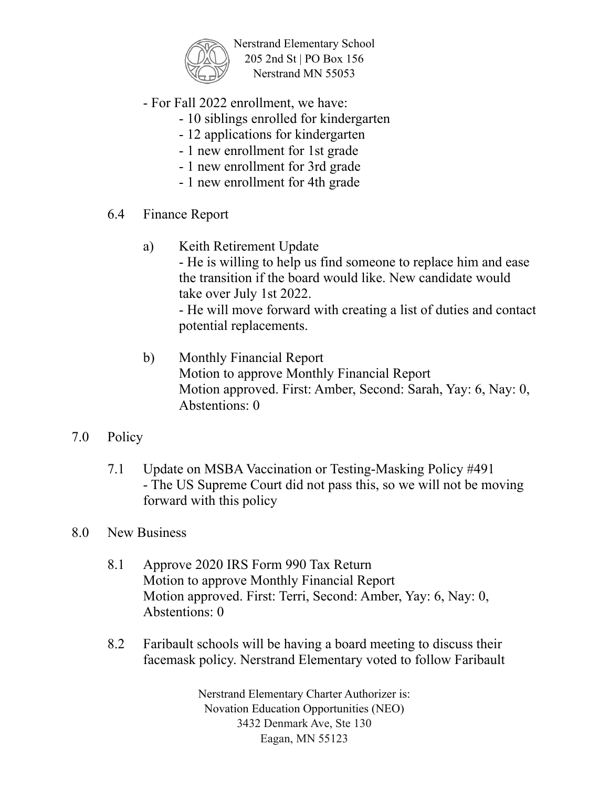

- For Fall 2022 enrollment, we have:

potential replacements.

- 10 siblings enrolled for kindergarten
- 12 applications for kindergarten
- 1 new enrollment for 1st grade
- 1 new enrollment for 3rd grade
- 1 new enrollment for 4th grade
- 6.4 Finance Report
	- a) Keith Retirement Update - He is willing to help us find someone to replace him and ease the transition if the board would like. New candidate would take over July 1st 2022. - He will move forward with creating a list of duties and contact
	- b) Monthly Financial Report Motion to approve Monthly Financial Report Motion approved. First: Amber, Second: Sarah, Yay: 6, Nay: 0, Abstentions: 0
- 7.0 Policy
	- 7.1 Update on MSBA Vaccination or Testing-Masking Policy #491 - The US Supreme Court did not pass this, so we will not be moving forward with this policy
- 8.0 New Business
	- 8.1 Approve 2020 IRS Form 990 Tax Return Motion to approve Monthly Financial Report Motion approved. First: Terri, Second: Amber, Yay: 6, Nay: 0, Abstentions: 0
	- 8.2 Faribault schools will be having a board meeting to discuss their facemask policy. Nerstrand Elementary voted to follow Faribault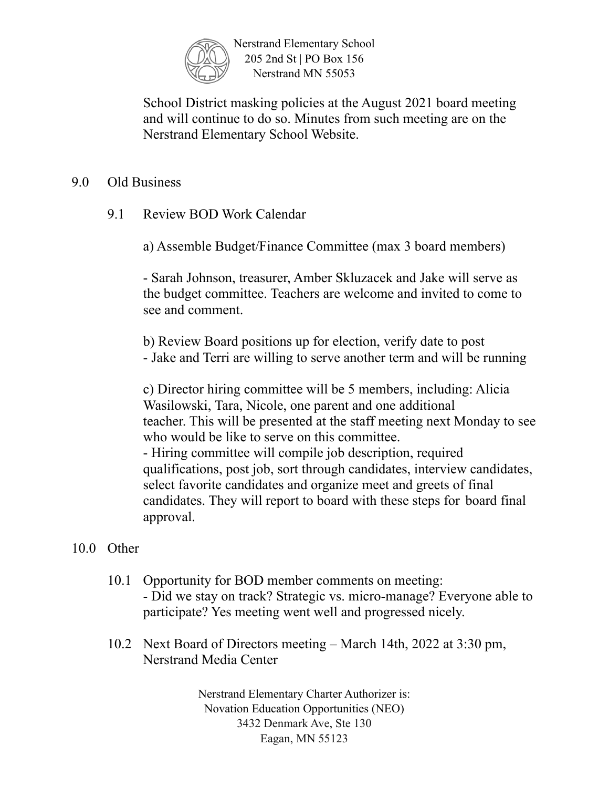

School District masking policies at the August 2021 board meeting and will continue to do so. Minutes from such meeting are on the Nerstrand Elementary School Website.

## 9.0 Old Business

9.1 Review BOD Work Calendar

a) Assemble Budget/Finance Committee (max 3 board members)

- Sarah Johnson, treasurer, Amber Skluzacek and Jake will serve as the budget committee. Teachers are welcome and invited to come to see and comment.

b) Review Board positions up for election, verify date to post - Jake and Terri are willing to serve another term and will be running

c) Director hiring committee will be 5 members, including: Alicia Wasilowski, Tara, Nicole, one parent and one additional teacher. This will be presented at the staff meeting next Monday to see who would be like to serve on this committee. - Hiring committee will compile job description, required

qualifications, post job, sort through candidates, interview candidates, select favorite candidates and organize meet and greets of final candidates. They will report to board with these steps for board final approval.

## 10.0 Other

- 10.1 Opportunity for BOD member comments on meeting: - Did we stay on track? Strategic vs. micro-manage? Everyone able to participate? Yes meeting went well and progressed nicely.
- 10.2 Next Board of Directors meeting March 14th, 2022 at 3:30 pm, Nerstrand Media Center